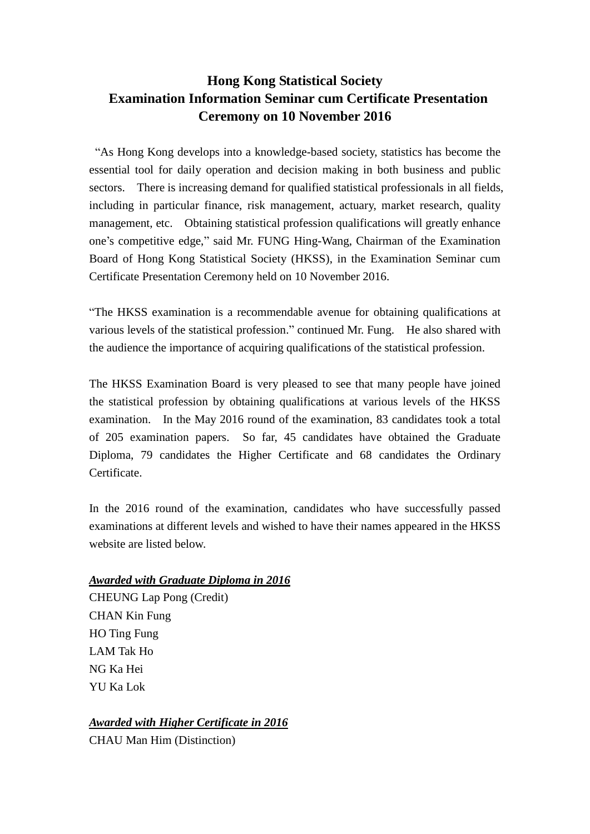# **Hong Kong Statistical Society Examination Information Seminar cum Certificate Presentation Ceremony on 10 November 2016**

"As Hong Kong develops into a knowledge-based society, statistics has become the essential tool for daily operation and decision making in both business and public sectors. There is increasing demand for qualified statistical professionals in all fields, including in particular finance, risk management, actuary, market research, quality management, etc. Obtaining statistical profession qualifications will greatly enhance one's competitive edge," said Mr. FUNG Hing-Wang, Chairman of the Examination Board of Hong Kong Statistical Society (HKSS), in the Examination Seminar cum Certificate Presentation Ceremony held on 10 November 2016.

"The HKSS examination is a recommendable avenue for obtaining qualifications at various levels of the statistical profession." continued Mr. Fung. He also shared with the audience the importance of acquiring qualifications of the statistical profession.

The HKSS Examination Board is very pleased to see that many people have joined the statistical profession by obtaining qualifications at various levels of the HKSS examination. In the May 2016 round of the examination, 83 candidates took a total of 205 examination papers. So far, 45 candidates have obtained the Graduate Diploma, 79 candidates the Higher Certificate and 68 candidates the Ordinary Certificate.

In the 2016 round of the examination, candidates who have successfully passed examinations at different levels and wished to have their names appeared in the HKSS website are listed below.

## *Awarded with Graduate Diploma in 2016*

CHEUNG Lap Pong (Credit) CHAN Kin Fung HO Ting Fung LAM Tak Ho NG Ka Hei YU Ka Lok

## *Awarded with Higher Certificate in 2016*

CHAU Man Him (Distinction)